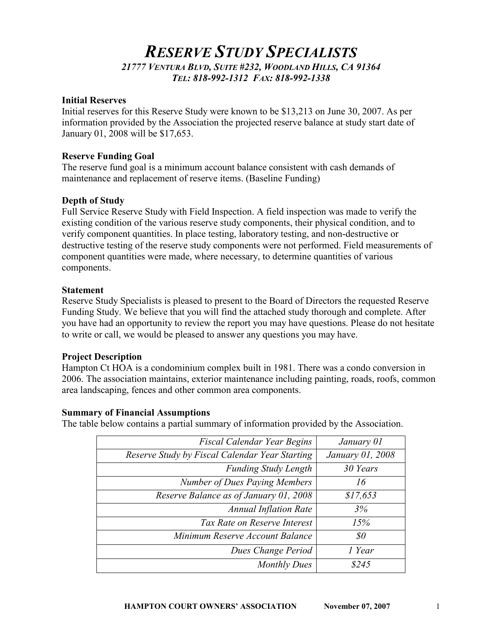# RESERVE STUDY SPECIALISTS 21777 VENTURA BLVD, SUITE #232, WOODLAND HILLS, CA 91364 TEL: 818-992-1312 FAX: 818-992-1338

#### Initial Reserves

Initial reserves for this Reserve Study were known to be \$13,213 on June 30, 2007. As per information provided by the Association the projected reserve balance at study start date of January 01, 2008 will be \$17,653.

#### Reserve Funding Goal

The reserve fund goal is a minimum account balance consistent with cash demands of maintenance and replacement of reserve items. (Baseline Funding)

#### Depth of Study

Full Service Reserve Study with Field Inspection. A field inspection was made to verify the existing condition of the various reserve study components, their physical condition, and to verify component quantities. In place testing, laboratory testing, and non-destructive or destructive testing of the reserve study components were not performed. Field measurements of component quantities were made, where necessary, to determine quantities of various components.

#### Statement

Reserve Study Specialists is pleased to present to the Board of Directors the requested Reserve Funding Study. We believe that you will find the attached study thorough and complete. After you have had an opportunity to review the report you may have questions. Please do not hesitate to write or call, we would be pleased to answer any questions you may have.

## Project Description

Hampton Ct HOA is a condominium complex built in 1981. There was a condo conversion in 2006. The association maintains, exterior maintenance including painting, roads, roofs, common area landscaping, fences and other common area components.

#### Summary of Financial Assumptions

The table below contains a partial summary of information provided by the Association.

| Fiscal Calendar Year Begins                    | January 01       |
|------------------------------------------------|------------------|
| Reserve Study by Fiscal Calendar Year Starting | January 01, 2008 |
| <b>Funding Study Length</b>                    | 30 Years         |
| <b>Number of Dues Paying Members</b>           | 16               |
| Reserve Balance as of January 01, 2008         | \$17,653         |
| <b>Annual Inflation Rate</b>                   | 3%               |
| Tax Rate on Reserve Interest                   | 15%              |
| Minimum Reserve Account Balance                | \$0              |
| Dues Change Period                             | 1 Year           |
| <b>Monthly Dues</b>                            | \$245            |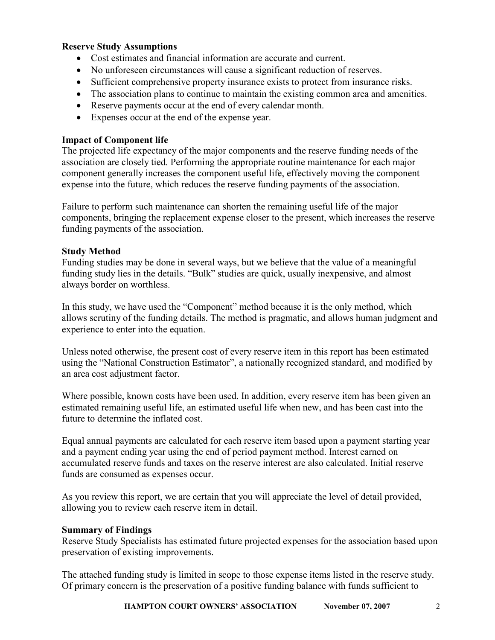# Reserve Study Assumptions

- Cost estimates and financial information are accurate and current.
- No unforeseen circumstances will cause a significant reduction of reserves.
- Sufficient comprehensive property insurance exists to protect from insurance risks.
- The association plans to continue to maintain the existing common area and amenities.
- Reserve payments occur at the end of every calendar month.
- Expenses occur at the end of the expense year.

# Impact of Component life

The projected life expectancy of the major components and the reserve funding needs of the association are closely tied. Performing the appropriate routine maintenance for each major component generally increases the component useful life, effectively moving the component expense into the future, which reduces the reserve funding payments of the association.

Failure to perform such maintenance can shorten the remaining useful life of the major components, bringing the replacement expense closer to the present, which increases the reserve funding payments of the association.

# Study Method

Funding studies may be done in several ways, but we believe that the value of a meaningful funding study lies in the details. "Bulk" studies are quick, usually inexpensive, and almost always border on worthless.

In this study, we have used the "Component" method because it is the only method, which allows scrutiny of the funding details. The method is pragmatic, and allows human judgment and experience to enter into the equation.

Unless noted otherwise, the present cost of every reserve item in this report has been estimated using the "National Construction Estimator", a nationally recognized standard, and modified by an area cost adjustment factor.

Where possible, known costs have been used. In addition, every reserve item has been given an estimated remaining useful life, an estimated useful life when new, and has been cast into the future to determine the inflated cost.

Equal annual payments are calculated for each reserve item based upon a payment starting year and a payment ending year using the end of period payment method. Interest earned on accumulated reserve funds and taxes on the reserve interest are also calculated. Initial reserve funds are consumed as expenses occur.

As you review this report, we are certain that you will appreciate the level of detail provided, allowing you to review each reserve item in detail.

## Summary of Findings

Reserve Study Specialists has estimated future projected expenses for the association based upon preservation of existing improvements.

The attached funding study is limited in scope to those expense items listed in the reserve study. Of primary concern is the preservation of a positive funding balance with funds sufficient to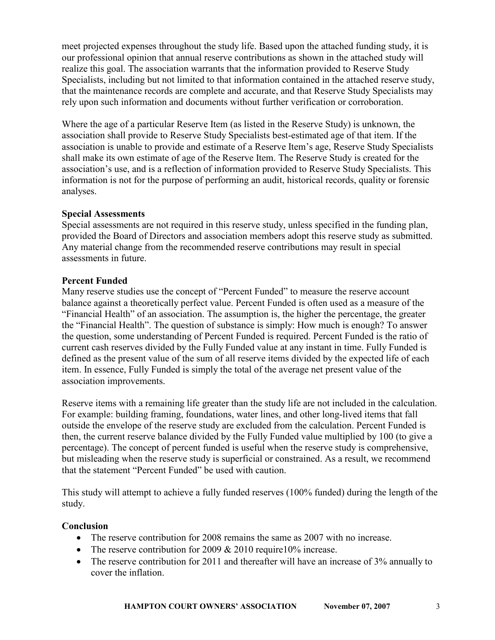meet projected expenses throughout the study life. Based upon the attached funding study, it is our professional opinion that annual reserve contributions as shown in the attached study will realize this goal. The association warrants that the information provided to Reserve Study Specialists, including but not limited to that information contained in the attached reserve study, that the maintenance records are complete and accurate, and that Reserve Study Specialists may rely upon such information and documents without further verification or corroboration.

Where the age of a particular Reserve Item (as listed in the Reserve Study) is unknown, the association shall provide to Reserve Study Specialists best-estimated age of that item. If the association is unable to provide and estimate of a Reserve Item's age, Reserve Study Specialists shall make its own estimate of age of the Reserve Item. The Reserve Study is created for the association's use, and is a reflection of information provided to Reserve Study Specialists. This information is not for the purpose of performing an audit, historical records, quality or forensic analyses.

# Special Assessments

Special assessments are not required in this reserve study, unless specified in the funding plan, provided the Board of Directors and association members adopt this reserve study as submitted. Any material change from the recommended reserve contributions may result in special assessments in future.

# Percent Funded

Many reserve studies use the concept of "Percent Funded" to measure the reserve account balance against a theoretically perfect value. Percent Funded is often used as a measure of the "Financial Health" of an association. The assumption is, the higher the percentage, the greater the "Financial Health". The question of substance is simply: How much is enough? To answer the question, some understanding of Percent Funded is required. Percent Funded is the ratio of current cash reserves divided by the Fully Funded value at any instant in time. Fully Funded is defined as the present value of the sum of all reserve items divided by the expected life of each item. In essence, Fully Funded is simply the total of the average net present value of the association improvements.

Reserve items with a remaining life greater than the study life are not included in the calculation. For example: building framing, foundations, water lines, and other long-lived items that fall outside the envelope of the reserve study are excluded from the calculation. Percent Funded is then, the current reserve balance divided by the Fully Funded value multiplied by 100 (to give a percentage). The concept of percent funded is useful when the reserve study is comprehensive, but misleading when the reserve study is superficial or constrained. As a result, we recommend that the statement "Percent Funded" be used with caution.

This study will attempt to achieve a fully funded reserves (100% funded) during the length of the study.

# **Conclusion**

- The reserve contribution for 2008 remains the same as 2007 with no increase.
- The reserve contribution for 2009 & 2010 require 10% increase.
- The reserve contribution for 2011 and thereafter will have an increase of 3% annually to cover the inflation.